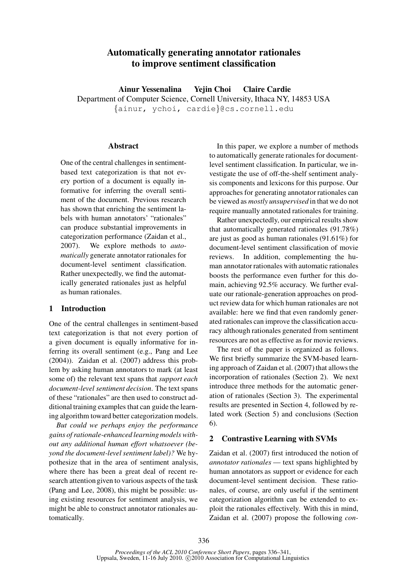# Automatically generating annotator rationales to improve sentiment classification

Ainur Yessenalina Yejin Choi Claire Cardie Department of Computer Science, Cornell University, Ithaca NY, 14853 USA {ainur, ychoi, cardie}@cs.cornell.edu

### Abstract

One of the central challenges in sentimentbased text categorization is that not every portion of a document is equally informative for inferring the overall sentiment of the document. Previous research has shown that enriching the sentiment labels with human annotators' "rationales" can produce substantial improvements in categorization performance (Zaidan et al., 2007). We explore methods to automatically generate annotator rationales for document-level sentiment classification. Rather unexpectedly, we find the automatically generated rationales just as helpful as human rationales.

## 1 Introduction

One of the central challenges in sentiment-based text categorization is that not every portion of a given document is equally informative for inferring its overall sentiment (e.g., Pang and Lee (2004)). Zaidan et al. (2007) address this problem by asking human annotators to mark (at least some of) the relevant text spans that support each document-level sentiment decision. The text spans of these "rationales" are then used to construct additional training examples that can guide the learning algorithm toward better categorization models.

But could we perhaps enjoy the performance gains of rationale-enhanced learning models without any additional human effort whatsoever (beyond the document-level sentiment label)? We hypothesize that in the area of sentiment analysis, where there has been a great deal of recent research attention given to various aspects of the task (Pang and Lee, 2008), this might be possible: using existing resources for sentiment analysis, we might be able to construct annotator rationales automatically.

In this paper, we explore a number of methods to automatically generate rationales for documentlevel sentiment classification. In particular, we investigate the use of off-the-shelf sentiment analysis components and lexicons for this purpose. Our approaches for generating annotator rationales can be viewed as mostly unsupervised in that we do not require manually annotated rationales for training.

Rather unexpectedly, our empirical results show that automatically generated rationales (91.78%) are just as good as human rationales  $(91.61\%)$  for document-level sentiment classification of movie reviews. In addition, complementing the human annotator rationales with automatic rationales boosts the performance even further for this domain, achieving 92.5% accuracy. We further evaluate our rationale-generation approaches on product review data for which human rationales are not available: here we find that even randomly generated rationales can improve the classification accuracy although rationales generated from sentiment resources are not as effective as for movie reviews.

The rest of the paper is organized as follows. We first briefly summarize the SVM-based learning approach of Zaidan et al. (2007) that allows the incorporation of rationales (Section 2). We next introduce three methods for the automatic generation of rationales (Section 3). The experimental results are presented in Section 4, followed by related work (Section 5) and conclusions (Section 6).

## 2 Contrastive Learning with SVMs

Zaidan et al. (2007) first introduced the notion of annotator rationales — text spans highlighted by human annotators as support or evidence for each document-level sentiment decision. These rationales, of course, are only useful if the sentiment categorization algorithm can be extended to exploit the rationales effectively. With this in mind, Zaidan et al. (2007) propose the following con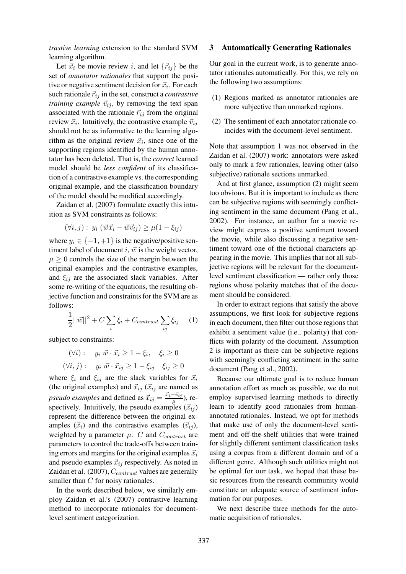trastive learning extension to the standard SVM learning algorithm.

Let  $\vec{x}_i$  be movie review i, and let  $\{\vec{r}_{ij}\}\$  be the set of annotator rationales that support the positive or negative sentiment decision for  $\vec{x}_i$ . For each such rationale  $\vec{r}_{ij}$  in the set, construct a *contrastive training example*  $\vec{v}_{ij}$ , by removing the text span associated with the rationale  $\vec{r}_{ij}$  from the original review  $\vec{x}_i$ . Intuitively, the contrastive example  $\vec{v}_{ij}$ should not be as informative to the learning algorithm as the original review  $\vec{x}_i$ , since one of the supporting regions identified by the human annotator has been deleted. That is, the correct learned model should be less confident of its classification of a contrastive example vs. the corresponding original example, and the classification boundary of the model should be modified accordingly.

Zaidan et al. (2007) formulate exactly this intuition as SVM constraints as follows:

$$
(\forall i, j): y_i \left( \vec{w} \vec{x}_i - \vec{w} \vec{v}_{ij} \right) \ge \mu (1 - \xi_{ij})
$$

where  $y_i \in \{-1, +1\}$  is the negative/positive sentiment label of document i,  $\vec{w}$  is the weight vector,  $\mu \geq 0$  controls the size of the margin between the original examples and the contrastive examples, and  $\xi_{ij}$  are the associated slack variables. After some re-writing of the equations, the resulting objective function and constraints for the SVM are as follows:

$$
\frac{1}{2}||\vec{w}||^2 + C\sum_{i}\xi_i + C_{contrast}\sum_{ij}\xi_{ij} \qquad (1)
$$

subject to constraints:

$$
(\forall i): \quad y_i \ \vec{w} \cdot \vec{x}_i \ge 1 - \xi_i, \quad \xi_i \ge 0
$$
  

$$
(\forall i, j): \quad y_i \ \vec{w} \cdot \vec{x}_{ij} \ge 1 - \xi_{ij} \quad \xi_{ij} \ge 0
$$

where  $\xi_i$  and  $\xi_{ij}$  are the slack variables for  $\vec{x}_i$ (the original examples) and  $\vec{x}_{ij}$  ( $\vec{x}_{ij}$  are named as *pseudo examples* and defined as  $\vec{x}_{ij} = \frac{\vec{x}_i - \vec{v}_{ij}}{u}$  $\frac{-v_{ij}}{\mu}$ ), respectively. Intuitively, the pseudo examples  $(\vec{x}_{ij})$ represent the difference between the original examples  $(\vec{x}_i)$  and the contrastive examples  $(\vec{v}_{ij})$ , weighted by a parameter  $\mu$ . C and  $C_{contrast}$  are parameters to control the trade-offs between training errors and margins for the original examples  $\vec{x}_i$ and pseudo examples  $\vec{x}_{ij}$  respectively. As noted in Zaidan et al. (2007),  $C_{contrast}$  values are generally smaller than C for noisy rationales.

In the work described below, we similarly employ Zaidan et al.'s (2007) contrastive learning method to incorporate rationales for documentlevel sentiment categorization.

### 3 Automatically Generating Rationales

Our goal in the current work, is to generate annotator rationales automatically. For this, we rely on the following two assumptions:

- (1) Regions marked as annotator rationales are more subjective than unmarked regions.
- (2) The sentiment of each annotator rationale coincides with the document-level sentiment.

Note that assumption 1 was not observed in the Zaidan et al. (2007) work: annotators were asked only to mark a few rationales, leaving other (also subjective) rationale sections unmarked.

And at first glance, assumption (2) might seem too obvious. But it is important to include as there can be subjective regions with seemingly conflicting sentiment in the same document (Pang et al., 2002). For instance, an author for a movie review might express a positive sentiment toward the movie, while also discussing a negative sentiment toward one of the fictional characters appearing in the movie. This implies that not all subjective regions will be relevant for the documentlevel sentiment classification — rather only those regions whose polarity matches that of the document should be considered.

In order to extract regions that satisfy the above assumptions, we first look for subjective regions in each document, then filter out those regions that exhibit a sentiment value (i.e., polarity) that conflicts with polarity of the document. Assumption 2 is important as there can be subjective regions with seemingly conflicting sentiment in the same document (Pang et al., 2002).

Because our ultimate goal is to reduce human annotation effort as much as possible, we do not employ supervised learning methods to directly learn to identify good rationales from humanannotated rationales. Instead, we opt for methods that make use of only the document-level sentiment and off-the-shelf utilities that were trained for slightly different sentiment classification tasks using a corpus from a different domain and of a different genre. Although such utilities might not be optimal for our task, we hoped that these basic resources from the research community would constitute an adequate source of sentiment information for our purposes.

We next describe three methods for the automatic acquisition of rationales.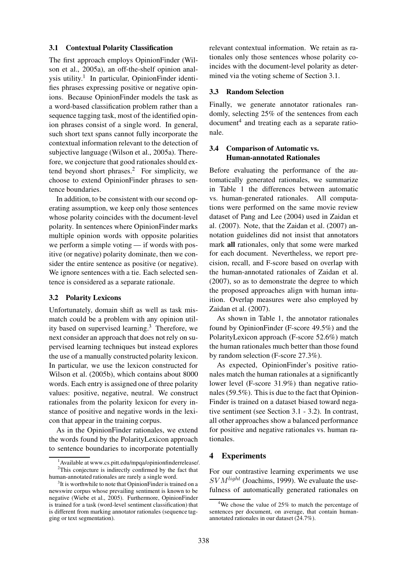#### 3.1 Contextual Polarity Classification

The first approach employs OpinionFinder (Wilson et al., 2005a), an off-the-shelf opinion analysis utility.<sup>1</sup> In particular, OpinionFinder identifies phrases expressing positive or negative opinions. Because OpinionFinder models the task as a word-based classification problem rather than a sequence tagging task, most of the identified opinion phrases consist of a single word. In general, such short text spans cannot fully incorporate the contextual information relevant to the detection of subjective language (Wilson et al., 2005a). Therefore, we conjecture that good rationales should extend beyond short phrases. $\frac{2}{1}$  For simplicity, we choose to extend OpinionFinder phrases to sentence boundaries.

In addition, to be consistent with our second operating assumption, we keep only those sentences whose polarity coincides with the document-level polarity. In sentences where OpinionFinder marks multiple opinion words with opposite polarities we perform a simple voting — if words with positive (or negative) polarity dominate, then we consider the entire sentence as positive (or negative). We ignore sentences with a tie. Each selected sentence is considered as a separate rationale.

#### 3.2 Polarity Lexicons

Unfortunately, domain shift as well as task mismatch could be a problem with any opinion utility based on supervised learning.<sup>3</sup> Therefore, we next consider an approach that does not rely on supervised learning techniques but instead explores the use of a manually constructed polarity lexicon. In particular, we use the lexicon constructed for Wilson et al. (2005b), which contains about 8000 words. Each entry is assigned one of three polarity values: positive, negative, neutral. We construct rationales from the polarity lexicon for every instance of positive and negative words in the lexicon that appear in the training corpus.

As in the OpinionFinder rationales, we extend the words found by the PolarityLexicon approach to sentence boundaries to incorporate potentially relevant contextual information. We retain as rationales only those sentences whose polarity coincides with the document-level polarity as determined via the voting scheme of Section 3.1.

### 3.3 Random Selection

Finally, we generate annotator rationales randomly, selecting 25% of the sentences from each document<sup>4</sup> and treating each as a separate rationale.

## 3.4 Comparison of Automatic vs. Human-annotated Rationales

Before evaluating the performance of the automatically generated rationales, we summarize in Table 1 the differences between automatic vs. human-generated rationales. All computations were performed on the same movie review dataset of Pang and Lee (2004) used in Zaidan et al. (2007). Note, that the Zaidan et al. (2007) annotation guidelines did not insist that annotators mark all rationales, only that some were marked for each document. Nevertheless, we report precision, recall, and F-score based on overlap with the human-annotated rationales of Zaidan et al. (2007), so as to demonstrate the degree to which the proposed approaches align with human intuition. Overlap measures were also employed by Zaidan et al. (2007).

As shown in Table 1, the annotator rationales found by OpinionFinder (F-score 49.5%) and the PolarityLexicon approach (F-score 52.6%) match the human rationales much better than those found by random selection (F-score 27.3%).

As expected, OpinionFinder's positive rationales match the human rationales at a significantly lower level (F-score 31.9%) than negative rationales (59.5%). This is due to the fact that Opinion-Finder is trained on a dataset biased toward negative sentiment (see Section 3.1 - 3.2). In contrast, all other approaches show a balanced performance for positive and negative rationales vs. human rationales.

## 4 Experiments

For our contrastive learning experiments we use  $SVM<sup>light</sup>$  (Joachims, 1999). We evaluate the usefulness of automatically generated rationales on

<sup>1</sup>Available at www.cs.pitt.edu/mpqa/opinionfinderrelease/. <sup>2</sup>This conjecture is indirectly confirmed by the fact that human-annotated rationales are rarely a single word.

<sup>&</sup>lt;sup>3</sup>It is worthwhile to note that OpinionFinder is trained on a newswire corpus whose prevailing sentiment is known to be negative (Wiebe et al., 2005). Furthermore, OpinionFinder is trained for a task (word-level sentiment classification) that is different from marking annotator rationales (sequence tagging or text segmentation).

<sup>&</sup>lt;sup>4</sup>We chose the value of 25% to match the percentage of sentences per document, on average, that contain humanannotated rationales in our dataset (24.7%).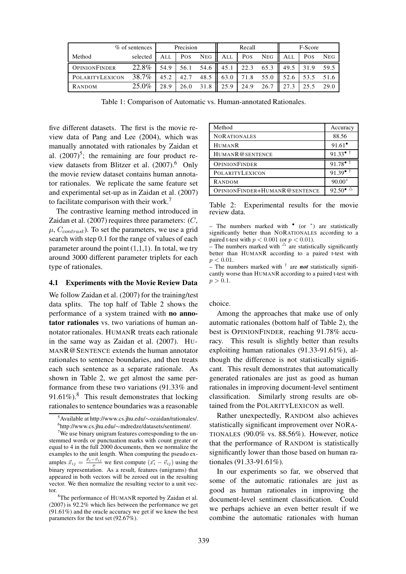| $\%$ of sentences      |          | Precision |      |            | Recall |      |            | F-Score            |      |            |
|------------------------|----------|-----------|------|------------|--------|------|------------|--------------------|------|------------|
| Method                 | selected | All       | Pos  | <b>NEG</b> | ALL    | Pos  | <b>NEG</b> | All                | Pos  | <b>NEG</b> |
| <b>OPINIONFINDER</b>   | 22.8%    | 54.9      | 56.1 | 54.6       | 45.1   | 22.3 | 65.3       | 49.5               | 31.9 | 59.5       |
| <b>POLARITYLEXICON</b> | 38.7%    | 45.2      | 42.7 | 48.5       | 63.0   | 71.8 | 55.0       | 52.6               | 53.5 | 51.6       |
| RANDOM                 | 25.0%    | 28.9      | 26.0 | 31.8       | 25.9   | 24.9 | 26.7       | $\mathbf{r}$<br>27 |      | 29.0       |

Table 1: Comparison of Automatic vs. Human-annotated Rationales.

five different datasets. The first is the movie review data of Pang and Lee (2004), which was manually annotated with rationales by Zaidan et al.  $(2007)^5$ ; the remaining are four product review datasets from Blitzer et al.  $(2007)^6$  Only the movie review dataset contains human annotator rationales. We replicate the same feature set and experimental set-up as in Zaidan et al. (2007) to facilitate comparison with their work.<sup>7</sup>

The contrastive learning method introduced in Zaidan et al.  $(2007)$  requires three parameters:  $(C,$  $\mu$ ,  $C_{contrast}$ ). To set the parameters, we use a grid search with step 0.1 for the range of values of each parameter around the point  $(1,1,1)$ . In total, we try around 3000 different parameter triplets for each type of rationales.

#### 4.1 Experiments with the Movie Review Data

We follow Zaidan et al. (2007) for the training/test data splits. The top half of Table 2 shows the performance of a system trained with no annotator rationales vs. two variations of human annotator rationales. HUMANR treats each rationale in the same way as Zaidan et al. (2007). HU-MANR@SENTENCE extends the human annotator rationales to sentence boundaries, and then treats each such sentence as a separate rationale. As shown in Table 2, we get almost the same performance from these two variations (91.33% and 91.61%).<sup>8</sup> This result demonstrates that locking rationales to sentence boundaries was a reasonable

| Method                        | Accuracy            |
|-------------------------------|---------------------|
| <b>NORATIONALES</b>           | 88.56               |
| <b>HUMANR</b>                 | $91.61^{\circ}$     |
| HUMANR@SENTENCE               | $91.33^{\bullet}$ † |
| <b>OPINIONFINDER</b>          | $91.78^{\bullet}$ † |
| POLARITYLEXICON               | $91.39^{\bullet}$ † |
| RANDOM                        | $90.00*$            |
| OPINIONFINDER+HUMANR@SENTENCE | 92.50'              |

Table 2: Experimental results for the movie review data.

– The numbers marked with • (or <sup>∗</sup> ) are statistically significantly better than NORATIONALES according to a paired t-test with  $p < 0.001$  (or  $p < 0.01$ ).

– The numbers marked with  $\triangle$  are statistically significantly better than HUMANR according to a paired t-test with  $p < 0.01$ .

– The numbers marked with  $\dagger$  are **not** statistically significantly worse than HUMANR according to a paired t-test with  $p > 0.1$ .

#### choice.

Among the approaches that make use of only automatic rationales (bottom half of Table 2), the best is OPINIONFINDER, reaching 91.78% accuracy. This result is slightly better than results exploiting human rationales (91.33-91.61%), although the difference is not statistically significant. This result demonstrates that automatically generated rationales are just as good as human rationales in improving document-level sentiment classification. Similarly strong results are obtained from the POLARITYLEXICON as well.

Rather unexpectedly, RANDOM also achieves statistically significant improvement over NORA-TIONALES (90.0% vs. 88.56%). However, notice that the performance of RANDOM is statistically significantly lower than those based on human rationales (91.33-91.61%).

In our experiments so far, we observed that some of the automatic rationales are just as good as human rationales in improving the document-level sentiment classification. Could we perhaps achieve an even better result if we combine the automatic rationales with human

<sup>5</sup>Available at http://www.cs.jhu.edu/∼ozaidan/rationales/. 6 http://www.cs.jhu.edu/∼mdredze/datasets/sentiment/.

 $7$ We use binary unigram features corresponding to the unstemmed words or punctuation marks with count greater or equal to 4 in the full 2000 documents, then we normalize the examples to the unit length. When computing the pseudo examples  $\vec{x}_{ij} = \frac{\vec{x}_i - \vec{v}_{ij}}{\mu}$  we first compute  $(\vec{x}_i - \vec{v}_{ij})$  using the binary representation. As a result, features (unigrams) that appeared in both vectors will be zeroed out in the resulting vector. We then normalize the resulting vector to a unit vector.

<sup>8</sup>The performance of HUMANR reported by Zaidan et al. (2007) is 92.2% which lies between the performance we get (91.61%) and the oracle accuracy we get if we knew the best parameters for the test set (92.67%).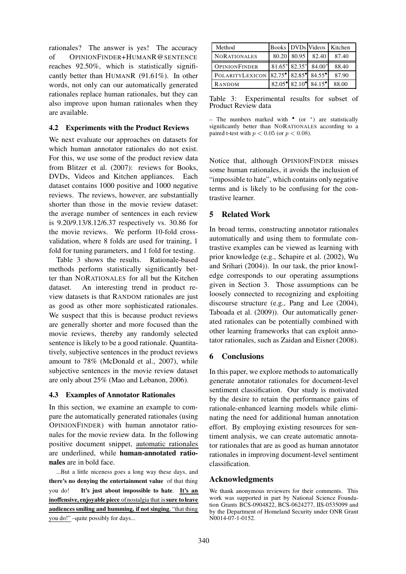rationales? The answer is yes! The accuracy of OPINIONFINDER+HUMANR@SENTENCE reaches 92.50%, which is statistically significantly better than HUMANR (91.61%). In other words, not only can our automatically generated rationales replace human rationales, but they can also improve upon human rationales when they are available.

#### 4.2 Experiments with the Product Reviews

We next evaluate our approaches on datasets for which human annotator rationales do not exist. For this, we use some of the product review data from Blitzer et al. (2007): reviews for Books, DVDs, Videos and Kitchen appliances. Each dataset contains 1000 positive and 1000 negative reviews. The reviews, however, are substantially shorter than those in the movie review dataset: the average number of sentences in each review is 9.20/9.13/8.12/6.37 respectively vs. 30.86 for the movie reviews. We perform 10-fold crossvalidation, where 8 folds are used for training, 1 fold for tuning parameters, and 1 fold for testing.

Table 3 shows the results. Rationale-based methods perform statistically significantly better than NORATIONALES for all but the Kitchen dataset. An interesting trend in product review datasets is that RANDOM rationales are just as good as other more sophisticated rationales. We suspect that this is because product reviews are generally shorter and more focused than the movie reviews, thereby any randomly selected sentence is likely to be a good rationale. Quantitatively, subjective sentences in the product reviews amount to 78% (McDonald et al., 2007), while subjective sentences in the movie review dataset are only about 25% (Mao and Lebanon, 2006).

## 4.3 Examples of Annotator Rationales

In this section, we examine an example to compare the automatically generated rationales (using OPINIONFINDER) with human annotator rationales for the movie review data. In the following positive document snippet, automatic rationales are underlined, while human-annotated rationales are in bold face.

...But a little niceness goes a long way these days, and there's no denying the entertainment value of that thing you do! It's just about impossible to hate. It's an inoffensive, enjoyable piece ofnostalgia that issure to leave audiences smiling and humming, if not singing, "that thing you do!" –quite possibly for days...

| Method                                                                   |       |                                    | Books DVDs Videos    | Kitchen |
|--------------------------------------------------------------------------|-------|------------------------------------|----------------------|---------|
| <b>NORATIONALES</b>                                                      | 80.20 | 80.95                              | 82.40                | 87.40   |
| <b>OPINIONFINDER</b>                                                     |       |                                    | 81.65* 82.35* 84.00* | 88.40   |
| POLARITYLEXICON 82.75 <sup>°</sup> 82.85 <sup>°</sup> 84.55 <sup>°</sup> |       |                                    |                      | 87.90   |
| RANDOM                                                                   |       | $82.05^{\circ}$ 82.10 <sup>°</sup> | $84.15^{\circ}$      | 88.00   |

Table 3: Experimental results for subset of Product Review data

Notice that, although OPINIONFINDER misses some human rationales, it avoids the inclusion of "impossible to hate", which contains only negative terms and is likely to be confusing for the contrastive learner.

## 5 Related Work

In broad terms, constructing annotator rationales automatically and using them to formulate contrastive examples can be viewed as learning with prior knowledge (e.g., Schapire et al. (2002), Wu and Srihari (2004)). In our task, the prior knowledge corresponds to our operating assumptions given in Section 3. Those assumptions can be loosely connected to recognizing and exploiting discourse structure (e.g., Pang and Lee (2004), Taboada et al. (2009)). Our automatically generated rationales can be potentially combined with other learning frameworks that can exploit annotator rationales, such as Zaidan and Eisner (2008).

# 6 Conclusions

In this paper, we explore methods to automatically generate annotator rationales for document-level sentiment classification. Our study is motivated by the desire to retain the performance gains of rationale-enhanced learning models while eliminating the need for additional human annotation effort. By employing existing resources for sentiment analysis, we can create automatic annotator rationales that are as good as human annotator rationales in improving document-level sentiment classification.

## Acknowledgments

We thank anonymous reviewers for their comments. This work was supported in part by National Science Foundation Grants BCS-0904822, BCS-0624277, IIS-0535099 and by the Department of Homeland Security under ONR Grant N0014-07-1-0152.

<sup>–</sup> The numbers marked with • (or <sup>∗</sup> ) are statistically significantly better than NORATIONALES according to a paired t-test with  $p < 0.05$  (or  $p < 0.08$ ).